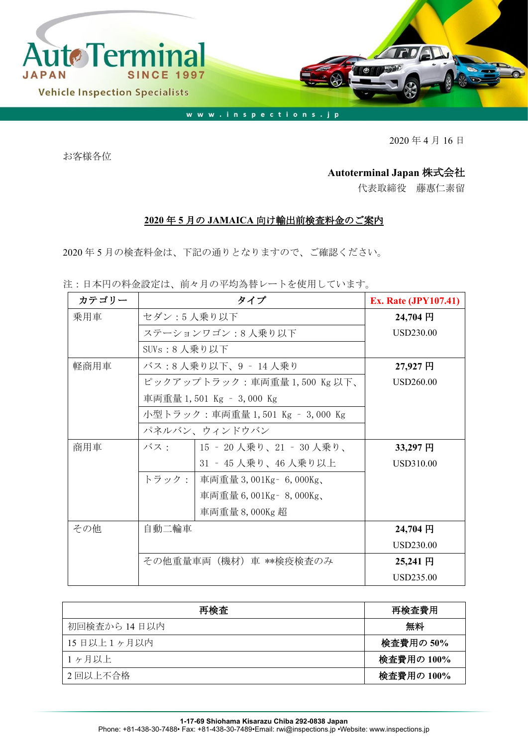

2020 年 4 月 16 日

お客様各位

## **Autoterminal Japan** 株式会社

代表取締役 藤惠仁素留

## **2020** 年 **5** 月の **JAMAICA** 向け輸出前検査料金のご案内

2020 年 5 月の検査料金は、下記の通りとなりますので、ご確認ください。

注:日本円の料金設定は、前々月の平均為替レートを使用しています。

| カテゴリー |                                 | タイプ                             | <b>Ex. Rate (JPY107.41)</b> |
|-------|---------------------------------|---------------------------------|-----------------------------|
| 乗用車   | セダン:5人乗り以下                      | 24,704 円                        |                             |
|       | ステーションワゴン:8人乗り以下                | USD230.00                       |                             |
|       | SUV $s: 8$ 人乗り以下                |                                 |                             |
| 軽商用車  | バス:8人乗り以下、9 - 14人乗り             | 27,927 円                        |                             |
|       | ピックアップトラック:車両重量1,500 Kg 以下、     | USD260.00                       |                             |
|       |                                 | 車両重量 1,501 Kg - 3,000 Kg        |                             |
|       | 小型トラック:車両重量 1,501 Kg – 3,000 Kg |                                 |                             |
|       |                                 | パネルバン、ウィンドウバン                   |                             |
| 商用車   |                                 | バス:   15 - 20 人乗り、21 - 30 人乗り、  | 33,297円                     |
|       |                                 | 31 - 45 人乗り、46 人乗り以上            | USD310.00                   |
|       |                                 | トラック:   車両重量 3,001Kg - 6,000Kg、 |                             |
|       |                                 | 車両重量 6,001Kg - 8,000Kg、         |                             |
|       |                                 | 車両重量 8,000Kg 超                  |                             |
| その他   | 自動二輪車                           |                                 | 24,704 円                    |
|       |                                 |                                 | USD230.00                   |
|       | その他重量車両(機材)車 **検疫検査のみ           | 25,241 円                        |                             |
|       |                                 |                                 | USD235.00                   |

| 再検査          | 再検査費用      |
|--------------|------------|
| 初回検査から 14日以内 | 無料         |
| 15日以上1ヶ月以内   | 検査費用の 50%  |
| 1ヶ月以上        | 検査費用の 100% |
| 2回以上不合格      | 検査費用の 100% |